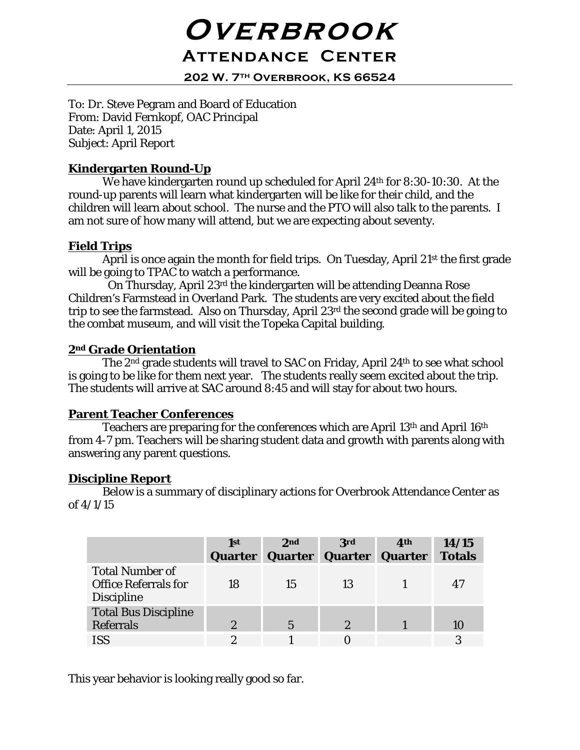# **Overbrook**

**Attendance Center**

**202 W. 7th Overbrook, KS 66524**

To: Dr. Steve Pegram and Board of Education From: David Fernkopf, OAC Principal Date: April 1, 2015 Subject: April Report

## **Kindergarten Round-Up**

We have kindergarten round up scheduled for April 24<sup>th</sup> for 8:30-10:30. At the round-up parents will learn what kindergarten will be like for their child, and the children will learn about school. The nurse and the PTO will also talk to the parents. I am not sure of how many will attend, but we are expecting about seventy.

# **Field Trips**

April is once again the month for field trips. On Tuesday, April 21<sup>st</sup> the first grade will be going to TPAC to watch a performance.

 On Thursday, April 23rd the kindergarten will be attending Deanna Rose Children's Farmstead in Overland Park. The students are very excited about the field trip to see the farmstead. Also on Thursday, April 23rd the second grade will be going to the combat museum, and will visit the Topeka Capital building.

## **2nd Grade Orientation**

The 2nd grade students will travel to SAC on Friday, April 24th to see what school is going to be like for them next year. The students really seem excited about the trip. The students will arrive at SAC around 8:45 and will stay for about two hours.

## **Parent Teacher Conferences**

Teachers are preparing for the conferences which are April 13th and April 16th from 4-7 pm. Teachers will be sharing student data and growth with parents along with answering any parent questions.

# **Discipline Report**

Below is a summary of disciplinary actions for Overbrook Attendance Center as of 4/1/15

|                                                                            | 1st<br>Quarter | 2nd<br><b>Quarter</b> | 3rd<br><b>Quarter Quarter</b> | 4 <sup>th</sup> | 14/15<br><b>Totals</b> |
|----------------------------------------------------------------------------|----------------|-----------------------|-------------------------------|-----------------|------------------------|
| <b>Total Number of</b><br><b>Office Referrals for</b><br><b>Discipline</b> | 18             | 15                    | 13                            |                 | 47                     |
| <b>Total Bus Discipline</b><br><b>Referrals</b>                            | $\overline{2}$ | $\overline{5}$        | $\overline{2}$                |                 | 10                     |
| <b>ISS</b>                                                                 | 2              |                       |                               |                 | 3                      |

This year behavior is looking really good so far.